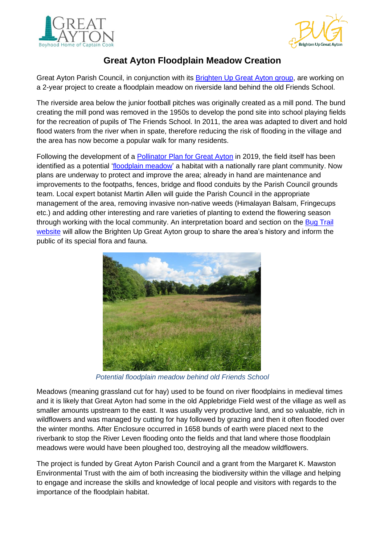



## **Great Ayton Floodplain Meadow Creation**

Great Ayton Parish Council, in conjunction with its **Brighten Up Great Ayton group**, are working on a 2-year project to create a floodplain meadow on riverside land behind the old Friends School.

The riverside area below the junior football pitches was originally created as a mill pond. The bund creating the mill pond was removed in the 1950s to develop the pond site into school playing fields for the recreation of pupils of The Friends School. In 2011, the area was adapted to divert and hold flood waters from the river when in spate, therefore reducing the risk of flooding in the village and the area has now become a popular walk for many residents.

Following the development of a [Pollinator Plan for Great Ayton](https://climateactionstokesleyandvillages.files.wordpress.com/2022/03/great-ayton-pollinator-plan-updated-june-2019.pdf) in 2019, the field itself has been identified as a potential ['floodplain meadow'](https://www.floodplainmeadows.org.uk/about-meadow/conservation) a habitat with a nationally rare plant community. Now plans are underway to protect and improve the area; already in hand are maintenance and improvements to the footpaths, fences, bridge and flood conduits by the Parish Council grounds team. Local expert botanist Martin Allen will guide the Parish Council in the appropriate management of the area, removing invasive non-native weeds (Himalayan Balsam, Fringecups etc.) and adding other interesting and rare varieties of planting to extend the flowering season through working with the local community. An interpretation board and section on the [Bug Trail](https://www.visitgreatayton.com/what-to-do-in-great-ayton/activities/the-bug-trail) [website](https://www.visitgreatayton.com/what-to-do-in-great-ayton/activities/the-bug-trail) will allow the Brighten Up Great Ayton group to share the area's history and inform the public of its special flora and fauna.



*Potential floodplain meadow behind old Friends School*

Meadows (meaning grassland cut for hay) used to be found on river floodplains in medieval times and it is likely that Great Ayton had some in the old Applebridge Field west of the village as well as smaller amounts upstream to the east. It was usually very productive land, and so valuable, rich in wildflowers and was managed by cutting for hay followed by grazing and then it often flooded over the winter months. After Enclosure occurred in 1658 bunds of earth were placed next to the riverbank to stop the River Leven flooding onto the fields and that land where those floodplain meadows were would have been ploughed too, destroying all the meadow wildflowers.

The project is funded by Great Ayton Parish Council and a grant from the Margaret K. Mawston Environmental Trust with the aim of both increasing the biodiversity within the village and helping to engage and increase the skills and knowledge of local people and visitors with regards to the importance of the floodplain habitat.